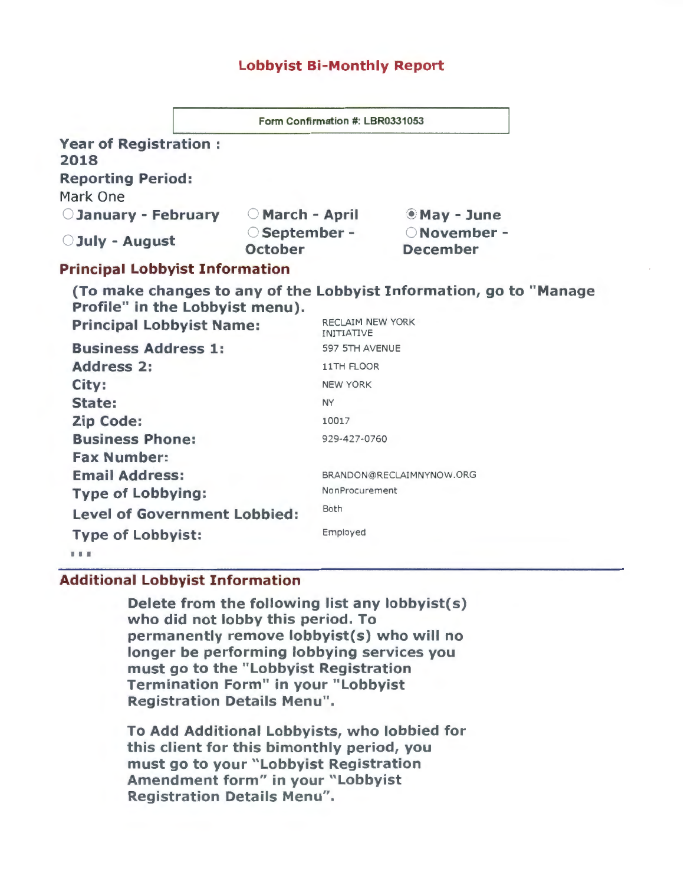## Lobbyist Bi-Monthly Report

| <b>Year of Registration:</b><br>2018  |  |                                 |                  |                                                                    |  |  |
|---------------------------------------|--|---------------------------------|------------------|--------------------------------------------------------------------|--|--|
| <b>Reporting Period:</b><br>Mark One  |  |                                 |                  |                                                                    |  |  |
| <b>CJanuary - February</b>            |  | ○ March - April                 |                  | <b>May - June</b>                                                  |  |  |
| <b>O</b> July - August                |  | ○ September -<br><b>October</b> |                  | ONovember -<br><b>December</b>                                     |  |  |
| <b>Principal Lobbyist Information</b> |  |                                 |                  |                                                                    |  |  |
| Profile" in the Lobbyist menu).       |  |                                 | RECLAIM NEW YORK | (To make changes to any of the Lobbyist Information, go to "Manage |  |  |
| <b>Principal Lobbyist Name:</b>       |  | <b>INITIATIVE</b>               |                  |                                                                    |  |  |
| <b>Business Address 1:</b>            |  | 597 5TH AVENUE                  |                  |                                                                    |  |  |
| <b>Address 2:</b>                     |  |                                 | 11TH FLOOR       |                                                                    |  |  |
| City:                                 |  |                                 | <b>NEW YORK</b>  |                                                                    |  |  |
| State:                                |  | <b>NY</b>                       |                  |                                                                    |  |  |
| <b>Zip Code:</b>                      |  | 10017                           |                  |                                                                    |  |  |
| <b>Business Phone:</b>                |  | 929-427-0760                    |                  |                                                                    |  |  |
| <b>Fax Number:</b>                    |  |                                 |                  |                                                                    |  |  |
| <b>Email Address:</b>                 |  | BRANDON@RECLAIMNYNOW.ORG        |                  |                                                                    |  |  |
| <b>Type of Lobbying:</b>              |  | NonProcurement                  |                  |                                                                    |  |  |
| <b>Level of Government Lobbied:</b>   |  | Both                            |                  |                                                                    |  |  |
| <b>Type of Lobbyist:</b>              |  | Employed                        |                  |                                                                    |  |  |
| .                                     |  |                                 |                  |                                                                    |  |  |

# Additional Lobbyist Information

Delete from the following list any lobbyist(s) who did not lobby this period. To permanently remove lobbyist(s) who will no longer be performing lobbying services you must go to the "Lobbyist Registration Termination Form" in your "Lobbyist Registration Details Menu".

To Add Additional Lobbyists, who lobbied for this client for this bimonthly period, you must go to your "Lobbyist Registration Amendment form" in your "Lobbyist Registration Details Menu".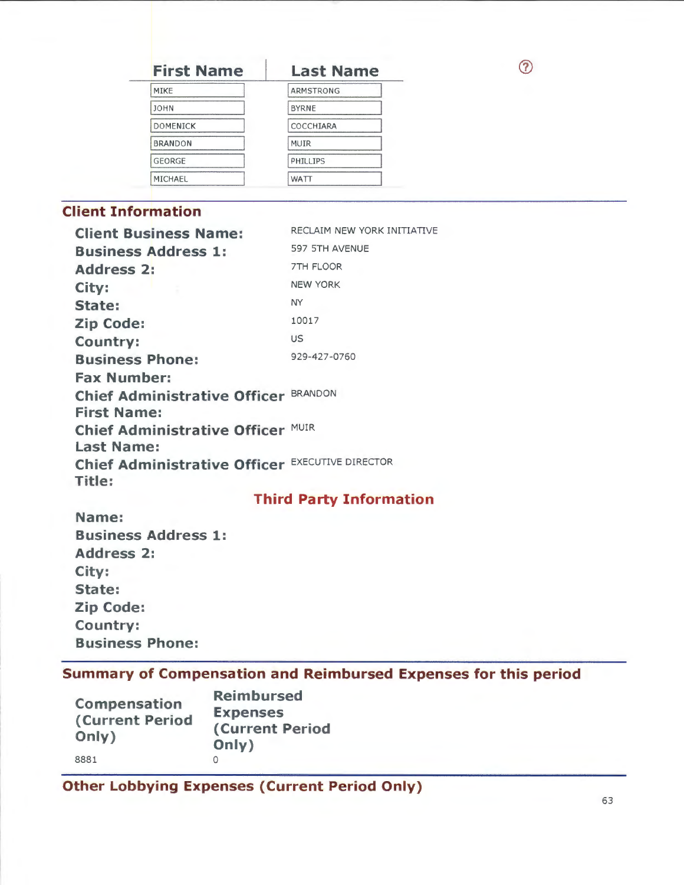# **First Name Last Name**

 $\odot$ 

| MIKE            | <b>ARMSTRONG</b> |
|-----------------|------------------|
| <b>JOHN</b>     | <b>BYRNE</b>     |
| <b>DOMENICK</b> | COCCHIARA        |
| <b>BRANDON</b>  | MUIR             |
| <b>GEORGE</b>   | PHILLIPS         |
| MICHAEL         | WATT             |

# **Client Information**

| <b>Client Business Name:</b>                    | RECLAIM NEW YORK INITIATIVE |
|-------------------------------------------------|-----------------------------|
| <b>Business Address 1:</b>                      | 597 5TH AVENUE              |
| <b>Address 2:</b>                               | 7TH FLOOR                   |
| City:                                           | <b>NEW YORK</b>             |
| State:                                          | NY.                         |
| <b>Zip Code:</b>                                | 10017                       |
| <b>Country:</b>                                 | <b>US</b>                   |
| <b>Business Phone:</b>                          | 929-427-0760                |
| <b>Fax Number:</b>                              |                             |
| <b>Chief Administrative Officer BRANDON</b>     |                             |
| <b>First Name:</b>                              |                             |
| Chief Administrative Officer MUIR               |                             |
| <b>Last Name:</b>                               |                             |
| Chief Administrative Officer EXECUTIVE DIRECTOR |                             |
| Title:                                          |                             |

# **Third Party Information**

**Name: Business Address 1: Address 2: City: State: Zip Code: Country: Business Phone:** 

# **Summary of Compensation and Reimbursed Expenses for this period**

| Compensation<br><b>(Current Period</b><br>Only) | <b>Reimbursed</b><br><b>Expenses</b><br><b>(Current Period</b><br>Only) |
|-------------------------------------------------|-------------------------------------------------------------------------|
| 8881                                            |                                                                         |

**Other Lobbying Expenses (Current Period Only)**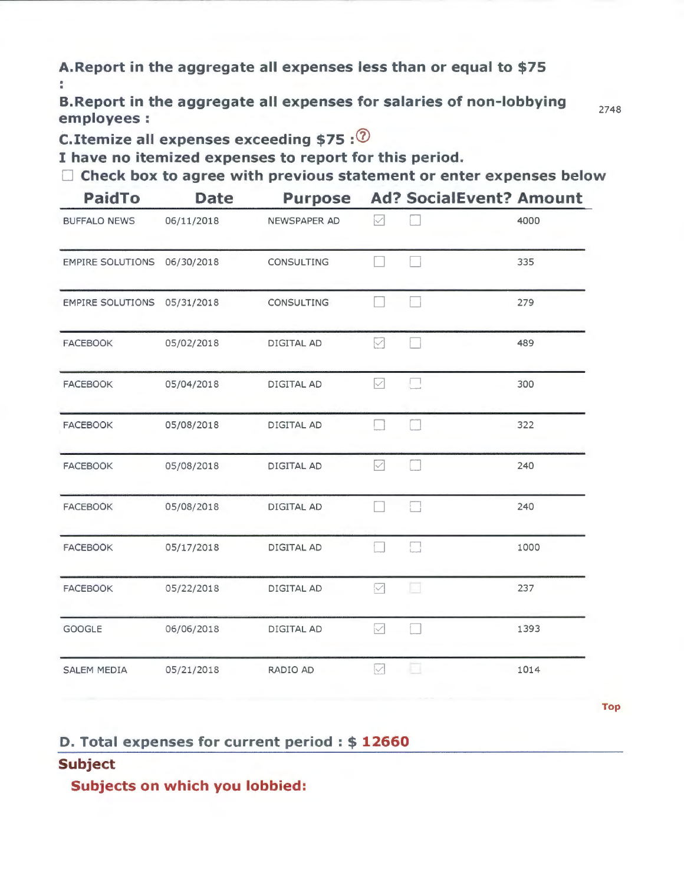**A.Report in the aggregate all expenses less than or equal to \$75**  š.

**B.Report in the aggregate all expenses for salaries of non-lobbying employees:** 

2748

**C.Itemize all expenses exceeding \$75** :®

---- ---------------- ----- -------- -- ---------------

**I have no itemized expenses to report for this period.** 

C **Check box to agree with previous statement or enter expenses below** 

| <b>PaidTo</b>           | <b>Date</b> | <b>Purpose</b>    |              |                | <b>Ad? SocialEvent? Amount</b> |
|-------------------------|-------------|-------------------|--------------|----------------|--------------------------------|
| <b>BUFFALO NEWS</b>     | 06/11/2018  | NEWSPAPER AD      | iИ           |                | 4000                           |
| <b>EMPIRE SOLUTIONS</b> | 06/30/2018  | CONSULTING        |              |                | 335                            |
| <b>EMPIRE SOLUTIONS</b> | 05/31/2018  | <b>CONSULTING</b> |              |                | 279                            |
| <b>FACEBOOK</b>         | 05/02/2018  | DIGITAL AD        | M            |                | 489                            |
| <b>FACEBOOK</b>         | 05/04/2018  | DIGITAL AD        | M            | $\mathfrak{t}$ | 300                            |
| <b>FACEBOOK</b>         | 05/08/2018  | DIGITAL AD        |              |                | 322                            |
| <b>FACEBOOK</b>         | 05/08/2018  | DIGITAL AD        | $\checkmark$ |                | 240                            |
| <b>FACEBOOK</b>         | 05/08/2018  | DIGITAL AD        |              |                | 240                            |
| <b>FACEBOOK</b>         | 05/17/2018  | <b>DIGITAL AD</b> |              | П              | 1000                           |
| <b>FACEBOOK</b>         | 05/22/2018  | DIGITAL AD        | ☑            | ka             | 237                            |
| <b>GOOGLE</b>           | 06/06/2018  | DIGITAL AD        | M            |                | 1393                           |
| <b>SALEM MEDIA</b>      | 05/21/2018  | RADIO AD          | M            |                | 1014                           |
|                         |             |                   |              |                |                                |

**Top** 

## **D. Total expenses for current period** : \$ **12660**

# **Subject**

**Subjects on which you lobbied:**